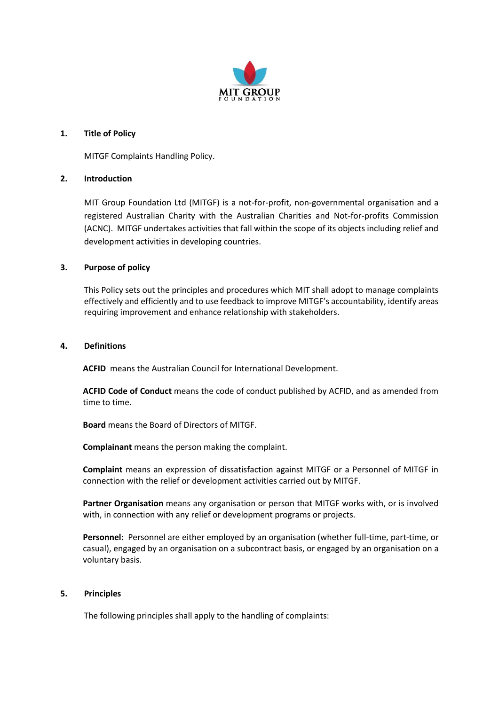

## **1. Title of Policy**

MITGF Complaints Handling Policy.

# **2. Introduction**

MIT Group Foundation Ltd (MITGF) is a not-for-profit, non-governmental organisation and a registered Australian Charity with the Australian Charities and Not-for-profits Commission (ACNC). MITGF undertakes activities that fall within the scope of its objects including relief and development activities in developing countries.

# **3. Purpose of policy**

This Policy sets out the principles and procedures which MIT shall adopt to manage complaints effectively and efficiently and to use feedback to improve MITGF's accountability, identify areas requiring improvement and enhance relationship with stakeholders.

## **4. Definitions**

**ACFID** means the Australian Council for International Development.

**ACFID Code of Conduct** means the code of conduct published by ACFID, and as amended from time to time.

**Board** means the Board of Directors of MITGF.

**Complainant** means the person making the complaint.

**Complaint** means an expression of dissatisfaction against MITGF or a Personnel of MITGF in connection with the relief or development activities carried out by MITGF.

**Partner Organisation** means any organisation or person that MITGF works with, or is involved with, in connection with any relief or development programs or projects.

**Personnel:** Personnel are either employed by an organisation (whether full-time, part-time, or casual), engaged by an organisation on a subcontract basis, or engaged by an organisation on a voluntary basis.

## **5. Principles**

The following principles shall apply to the handling of complaints: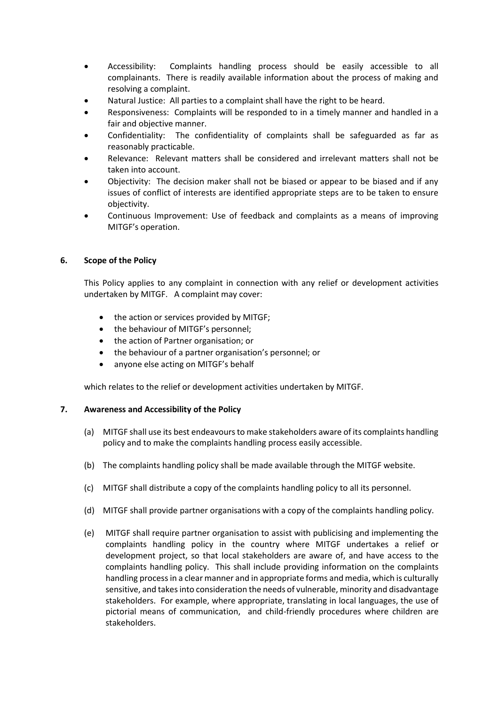- Accessibility: Complaints handling process should be easily accessible to all complainants. There is readily available information about the process of making and resolving a complaint.
- Natural Justice: All parties to a complaint shall have the right to be heard.
- Responsiveness: Complaints will be responded to in a timely manner and handled in a fair and objective manner.
- Confidentiality: The confidentiality of complaints shall be safeguarded as far as reasonably practicable.
- Relevance: Relevant matters shall be considered and irrelevant matters shall not be taken into account.
- Objectivity: The decision maker shall not be biased or appear to be biased and if any issues of conflict of interests are identified appropriate steps are to be taken to ensure objectivity.
- Continuous Improvement: Use of feedback and complaints as a means of improving MITGF's operation.

# **6. Scope of the Policy**

This Policy applies to any complaint in connection with any relief or development activities undertaken by MITGF. A complaint may cover:

- the action or services provided by MITGF;
- the behaviour of MITGF's personnel;
- the action of Partner organisation; or
- the behaviour of a partner organisation's personnel; or
- anyone else acting on MITGF's behalf

which relates to the relief or development activities undertaken by MITGF.

## **7. Awareness and Accessibility of the Policy**

- (a) MITGF shall use its best endeavours to make stakeholders aware of its complaints handling policy and to make the complaints handling process easily accessible.
- (b) The complaints handling policy shall be made available through the MITGF website.
- (c) MITGF shall distribute a copy of the complaints handling policy to all its personnel.
- (d) MITGF shall provide partner organisations with a copy of the complaints handling policy.
- (e) MITGF shall require partner organisation to assist with publicising and implementing the complaints handling policy in the country where MITGF undertakes a relief or development project, so that local stakeholders are aware of, and have access to the complaints handling policy. This shall include providing information on the complaints handling process in a clear manner and in appropriate forms and media, which is culturally sensitive, and takes into consideration the needs of vulnerable, minority and disadvantage stakeholders. For example, where appropriate, translating in local languages, the use of pictorial means of communication, and child-friendly procedures where children are stakeholders.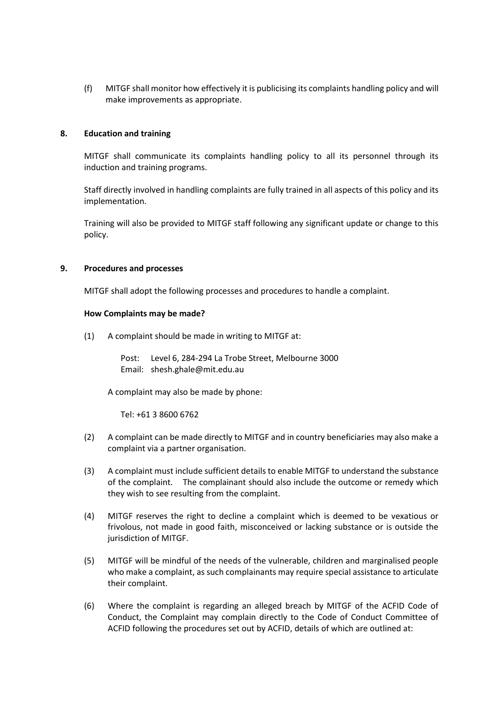(f) MITGF shall monitor how effectively it is publicising its complaints handling policy and will make improvements as appropriate.

## **8. Education and training**

MITGF shall communicate its complaints handling policy to all its personnel through its induction and training programs.

Staff directly involved in handling complaints are fully trained in all aspects of this policy and its implementation.

Training will also be provided to MITGF staff following any significant update or change to this policy.

### **9. Procedures and processes**

MITGF shall adopt the following processes and procedures to handle a complaint.

#### **How Complaints may be made?**

(1) A complaint should be made in writing to MITGF at:

Post: Level 6, 284-294 La Trobe Street, Melbourne 3000 Email: shesh.ghale@mit.edu.au

A complaint may also be made by phone:

Tel: +61 3 8600 6762

- (2) A complaint can be made directly to MITGF and in country beneficiaries may also make a complaint via a partner organisation.
- (3) A complaint must include sufficient details to enable MITGF to understand the substance of the complaint. The complainant should also include the outcome or remedy which they wish to see resulting from the complaint.
- (4) MITGF reserves the right to decline a complaint which is deemed to be vexatious or frivolous, not made in good faith, misconceived or lacking substance or is outside the jurisdiction of MITGF.
- (5) MITGF will be mindful of the needs of the vulnerable, children and marginalised people who make a complaint, as such complainants may require special assistance to articulate their complaint.
- (6) Where the complaint is regarding an alleged breach by MITGF of the ACFID Code of Conduct, the Complaint may complain directly to the Code of Conduct Committee of ACFID following the procedures set out by ACFID, details of which are outlined at: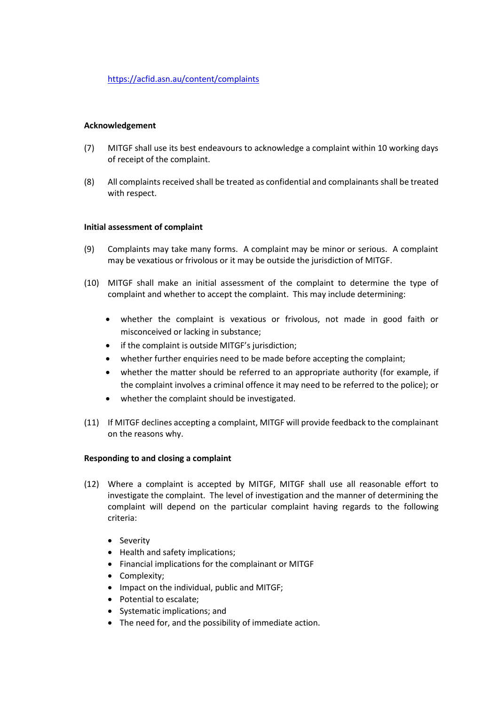## **Acknowledgement**

- (7) MITGF shall use its best endeavours to acknowledge a complaint within 10 working days of receipt of the complaint.
- (8) All complaints received shall be treated as confidential and complainants shall be treated with respect.

### **Initial assessment of complaint**

- (9) Complaints may take many forms. A complaint may be minor or serious. A complaint may be vexatious or frivolous or it may be outside the jurisdiction of MITGF.
- (10) MITGF shall make an initial assessment of the complaint to determine the type of complaint and whether to accept the complaint. This may include determining:
	- whether the complaint is vexatious or frivolous, not made in good faith or misconceived or lacking in substance;
	- if the complaint is outside MITGF's jurisdiction;
	- whether further enquiries need to be made before accepting the complaint;
	- whether the matter should be referred to an appropriate authority (for example, if the complaint involves a criminal offence it may need to be referred to the police); or
	- whether the complaint should be investigated.
- (11) If MITGF declines accepting a complaint, MITGF will provide feedback to the complainant on the reasons why.

## **Responding to and closing a complaint**

- (12) Where a complaint is accepted by MITGF, MITGF shall use all reasonable effort to investigate the complaint. The level of investigation and the manner of determining the complaint will depend on the particular complaint having regards to the following criteria:
	- Severity
	- Health and safety implications;
	- Financial implications for the complainant or MITGF
	- Complexity;
	- Impact on the individual, public and MITGF;
	- Potential to escalate;
	- Systematic implications; and
	- The need for, and the possibility of immediate action.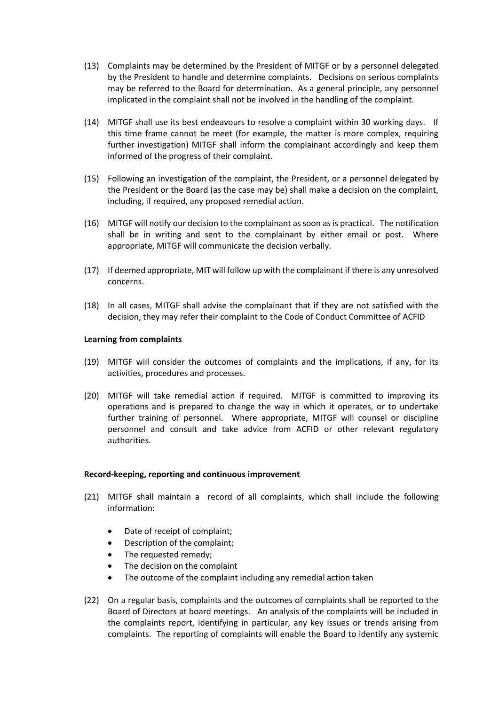- (13) Complaints may be determined by the President of MITGF or by a personnel delegated by the President to handle and determine complaints. Decisions on serious complaints may be referred to the Board for determination. As a general principle, any personnel implicated in the complaint shall not be involved in the handling of the complaint.
- (14) MITGF shall use its best endeavours to resolve a complaint within 30 working days. If this time frame cannot be meet (for example, the matter is more complex, requiring further investigation) MITGF shall inform the complainant accordingly and keep them informed of the progress of their complaint.
- (15) Following an investigation of the complaint, the President, or a personnel delegated by the President or the Board (as the case may be) shall make a decision on the complaint, including, if required, any proposed remedial action.
- (16) MITGF will notify our decision to the complainant as soon as is practical. The notification shall be in writing and sent to the complainant by either email or post. Where appropriate, MITGF will communicate the decision verbally.
- (17) If deemed appropriate, MIT will follow up with the complainant if there is any unresolved concerns.
- (18) In all cases, MITGF shall advise the complainant that if they are not satisfied with the decision, they may refer their complaint to the Code of Conduct Committee of ACFID

### **Learning from complaints**

- (19) MITGF will consider the outcomes of complaints and the implications, if any, for its activities, procedures and processes.
- (20) MITGF will take remedial action if required. MITGF is committed to improving its operations and is prepared to change the way in which it operates, or to undertake further training of personnel. Where appropriate, MITGF will counsel or discipline personnel and consult and take advice from ACFID or other relevant regulatory authorities.

#### **Record-keeping, reporting and continuous improvement**

- (21) MITGF shall maintain a record of all complaints, which shall include the following information:
	- Date of receipt of complaint;
	- Description of the complaint;
	- The requested remedy;
	- The decision on the complaint
	- The outcome of the complaint including any remedial action taken
- (22) On a regular basis, complaints and the outcomes of complaints shall be reported to the Board of Directors at board meetings. An analysis of the complaints will be included in the complaints report, identifying in particular, any key issues or trends arising from complaints. The reporting of complaints will enable the Board to identify any systemic